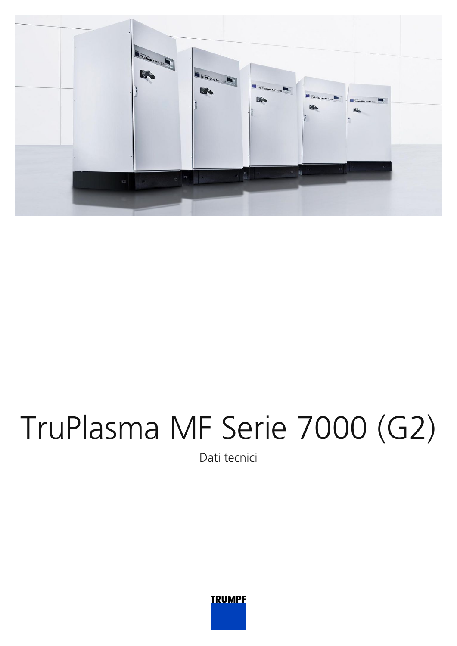

## TruPlasma MF Serie 7000 (G2)

Dati tecnici

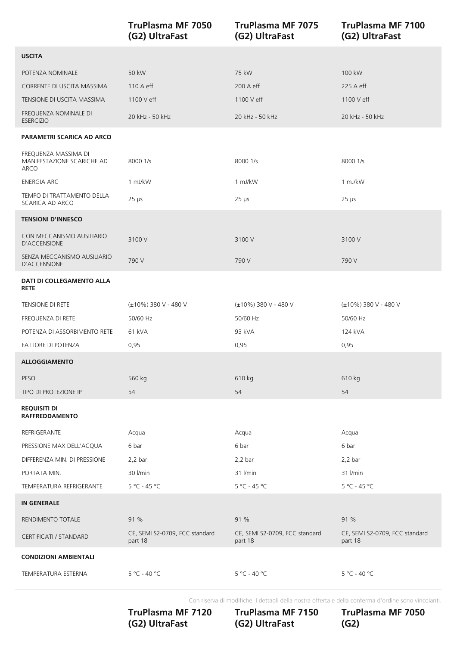|                                                            | <b>TruPlasma MF 7050</b><br>(G2) UltraFast | <b>TruPlasma MF 7075</b><br>(G2) UltraFast | <b>TruPlasma MF 7100</b><br>(G2) UltraFast |
|------------------------------------------------------------|--------------------------------------------|--------------------------------------------|--------------------------------------------|
| <b>USCITA</b>                                              |                                            |                                            |                                            |
| POTENZA NOMINALE                                           | 50 kW                                      | 75 kW                                      | 100 kW                                     |
| CORRENTE DI USCITA MASSIMA                                 | 110 A eff                                  | 200 A eff                                  | 225 A eff                                  |
| TENSIONE DI USCITA MASSIMA                                 | 1100 V eff                                 | 1100 V eff                                 | 1100 V eff                                 |
| FREQUENZA NOMINALE DI<br><b>ESERCIZIO</b>                  | 20 kHz - 50 kHz                            | 20 kHz - 50 kHz                            | 20 kHz - 50 kHz                            |
| <b>PARAMETRI SCARICA AD ARCO</b>                           |                                            |                                            |                                            |
| FREQUENZA MASSIMA DI<br>MANIFESTAZIONE SCARICHE AD<br>ARCO | 8000 1/s                                   | 8000 1/s                                   | 8000 1/s                                   |
| <b>ENERGIA ARC</b>                                         | 1 mJ/kW                                    | 1 mJ/kW                                    | 1 mJ/kW                                    |
| TEMPO DI TRATTAMENTO DELLA<br>SCARICA AD ARCO              | $25 \mu s$                                 | $25 \mu s$                                 | $25 \mu s$                                 |
| <b>TENSIONI D'INNESCO</b>                                  |                                            |                                            |                                            |
| CON MECCANISMO AUSILIARIO<br>D'ACCENSIONE                  | 3100V                                      | 3100 V                                     | 3100V                                      |
| SENZA MECCANISMO AUSILIARIO<br>D'ACCENSIONE                | 790 V                                      | 790 V                                      | 790 V                                      |
| DATI DI COLLEGAMENTO ALLA<br><b>RETE</b>                   |                                            |                                            |                                            |
| TENSIONE DI RETE                                           | (±10%) 380 V - 480 V                       | (±10%) 380 V - 480 V                       | (±10%) 380 V - 480 V                       |
| FREQUENZA DI RETE                                          | 50/60 Hz                                   | 50/60 Hz                                   | 50/60 Hz                                   |
| POTENZA DI ASSORBIMENTO RETE                               | 61 kVA                                     | 93 kVA                                     | 124 kVA                                    |
| FATTORE DI POTENZA                                         | 0,95                                       | 0,95                                       | 0,95                                       |
| <b>ALLOGGIAMENTO</b>                                       |                                            |                                            |                                            |
| PESO                                                       | 560 kg                                     | 610 kg                                     | 610 kg                                     |
| TIPO DI PROTEZIONE IP                                      | 54                                         | 54                                         | 54                                         |
| <b>REQUISITI DI</b><br><b>RAFFREDDAMENTO</b>               |                                            |                                            |                                            |
| REFRIGERANTE                                               | Acqua                                      | Acqua                                      | Acqua                                      |
| PRESSIONE MAX DELL'ACQUA                                   | 6 bar                                      | 6 bar                                      | 6 bar                                      |
| DIFFERENZA MIN. DI PRESSIONE                               | $2,2$ bar                                  | $2,2$ bar                                  | $2,2$ bar                                  |
| PORTATA MIN.                                               | 30 l/min                                   | 31 l/min                                   | 31 l/min                                   |
| TEMPERATURA REFRIGERANTE                                   | 5°C - 45 °C                                | $5 °C - 45 °C$                             | 5 °C - 45 °C                               |
| <b>IN GENERALE</b>                                         |                                            |                                            |                                            |
| RENDIMENTO TOTALE                                          | 91 %                                       | 91 %                                       | 91 %                                       |
| CERTIFICATI / STANDARD                                     | CE, SEMI S2-0709, FCC standard<br>part 18  | CE, SEMI S2-0709, FCC standard<br>part 18  | CE, SEMI S2-0709, FCC standard<br>part 18  |
| <b>CONDIZIONI AMBIENTALI</b>                               |                                            |                                            |                                            |
| TEMPERATURA ESTERNA                                        | 5 °C - 40 °C                               | $5 °C - 40 °C$                             | 5 °C - 40 °C                               |

Con riserva di modifiche. I dettagli della nostra offerta e della conferma d'ordine sono vincolanti.

(G2) UltraFast (G2) UltraFast (G2) **TruPlasma MF 7120**

**TruPlasma MF 7150 (G2) UltraFast**

**TruPlasma MF 7050 (G2)**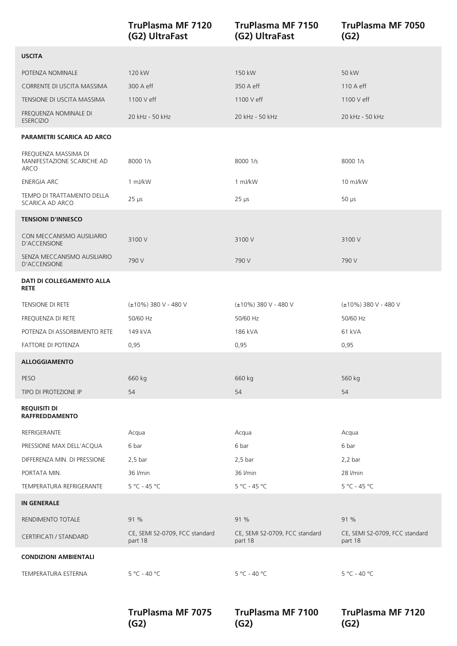|                                                            | <b>TruPlasma MF 7120</b><br>(G2) UltraFast | <b>TruPlasma MF 7150</b><br>(G2) UltraFast | <b>TruPlasma MF 7050</b><br>(G2)          |
|------------------------------------------------------------|--------------------------------------------|--------------------------------------------|-------------------------------------------|
| <b>USCITA</b>                                              |                                            |                                            |                                           |
| POTENZA NOMINALE                                           | 120 kW                                     | 150 kW                                     | 50 kW                                     |
| CORRENTE DI USCITA MASSIMA                                 | 300 A eff                                  | 350 A eff                                  | 110 A eff                                 |
| TENSIONE DI USCITA MASSIMA                                 | 1100 V eff                                 | 1100 V eff                                 | 1100 V eff                                |
| FREQUENZA NOMINALE DI<br><b>ESERCIZIO</b>                  | 20 kHz - 50 kHz                            | 20 kHz - 50 kHz                            | 20 kHz - 50 kHz                           |
| <b>PARAMETRI SCARICA AD ARCO</b>                           |                                            |                                            |                                           |
| FREQUENZA MASSIMA DI<br>MANIFESTAZIONE SCARICHE AD<br>ARCO | 8000 1/s                                   | 8000 1/s                                   | 8000 1/s                                  |
| <b>ENERGIA ARC</b>                                         | 1 mJ/kW                                    | 1 mJ/kW                                    | 10 mJ/kW                                  |
| TEMPO DI TRATTAMENTO DELLA<br>SCARICA AD ARCO              | $25 \mu s$                                 | $25 \mu s$                                 | $50 \mu s$                                |
| <b>TENSIONI D'INNESCO</b>                                  |                                            |                                            |                                           |
| CON MECCANISMO AUSILIARIO<br>D'ACCENSIONE                  | 3100 V                                     | 3100 V                                     | 3100 V                                    |
| SENZA MECCANISMO AUSILIARIO<br>D'ACCENSIONE                | 790 V                                      | 790 V                                      | 790 V                                     |
| DATI DI COLLEGAMENTO ALLA<br><b>RETE</b>                   |                                            |                                            |                                           |
| TENSIONE DI RETE                                           | (±10%) 380 V - 480 V                       | (±10%) 380 V - 480 V                       | (±10%) 380 V - 480 V                      |
| FREQUENZA DI RETE                                          | 50/60 Hz                                   | 50/60 Hz                                   | 50/60 Hz                                  |
| POTENZA DI ASSORBIMENTO RETE                               | 149 kVA                                    | 186 kVA                                    | 61 kVA                                    |
| <b>FATTORE DI POTENZA</b>                                  | 0,95                                       | 0,95                                       | 0,95                                      |
| <b>ALLOGGIAMENTO</b>                                       |                                            |                                            |                                           |
| PESO                                                       | 660 kg                                     | 660 kg                                     | 560 kg                                    |
| TIPO DI PROTEZIONE IP                                      | 54                                         | 54                                         | 54                                        |
| <b>REQUISITI DI</b><br><b>RAFFREDDAMENTO</b>               |                                            |                                            |                                           |
| REFRIGERANTE                                               | Acqua                                      | Acqua                                      | Acqua                                     |
| PRESSIONE MAX DELL'ACQUA                                   | 6 bar                                      | 6 bar                                      | 6 bar                                     |
| DIFFERENZA MIN. DI PRESSIONE                               | $2,5$ bar                                  | $2,5$ bar                                  | $2,2$ bar                                 |
| PORTATA MIN.                                               | 36 l/min                                   | 36 l/min                                   | 28 l/min                                  |
| TEMPERATURA REFRIGERANTE                                   | 5 °C - 45 °C                               | $5 °C - 45 °C$                             | 5 °C - 45 °C                              |
| <b>IN GENERALE</b>                                         |                                            |                                            |                                           |
| RENDIMENTO TOTALE                                          | 91 %                                       | 91 %                                       | 91 %                                      |
| CERTIFICATI / STANDARD                                     | CE, SEMI S2-0709, FCC standard<br>part 18  | CE, SEMI S2-0709, FCC standard<br>part 18  | CE, SEMI S2-0709, FCC standard<br>part 18 |
| <b>CONDIZIONI AMBIENTALI</b>                               |                                            |                                            |                                           |
| TEMPERATURA ESTERNA                                        | 5 °C - 40 °C                               | $5 °C - 40 °C$                             | 5 °C - 40 °C                              |

**TruPlasma MF 7075**

**TruPlasma MF 7100**

**TruPlasma MF 7120**

**(G2)**

**(G2)**

**(G2)**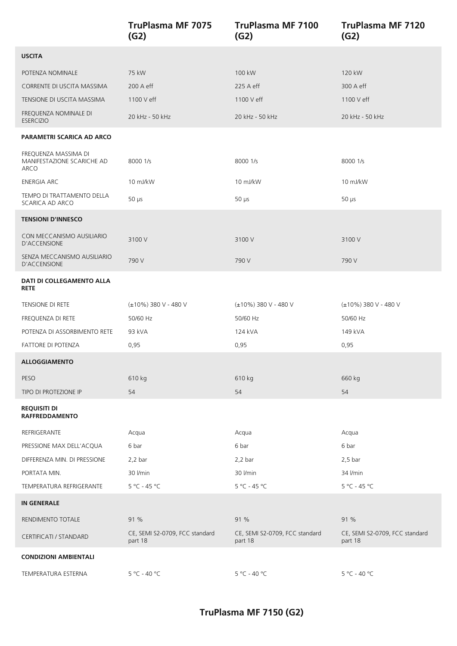|                                                            | <b>TruPlasma MF 7075</b><br>(G2)          | <b>TruPlasma MF 7100</b><br>(G2)          | <b>TruPlasma MF 7120</b><br>(G2)          |
|------------------------------------------------------------|-------------------------------------------|-------------------------------------------|-------------------------------------------|
| <b>USCITA</b>                                              |                                           |                                           |                                           |
| POTENZA NOMINALE                                           | 75 kW                                     | 100 kW                                    | 120 kW                                    |
| CORRENTE DI USCITA MASSIMA                                 | 200 A eff                                 | 225 A eff                                 | 300 A eff                                 |
| TENSIONE DI USCITA MASSIMA                                 | 1100 V eff                                | 1100 V eff                                | 1100 V eff                                |
| FREQUENZA NOMINALE DI<br><b>ESERCIZIO</b>                  | 20 kHz - 50 kHz                           | 20 kHz - 50 kHz                           | 20 kHz - 50 kHz                           |
| PARAMETRI SCARICA AD ARCO                                  |                                           |                                           |                                           |
| FREQUENZA MASSIMA DI<br>MANIFESTAZIONE SCARICHE AD<br>ARCO | 8000 1/s                                  | 8000 1/s                                  | 8000 1/s                                  |
| <b>ENERGIA ARC</b>                                         | 10 mJ/kW                                  | 10 mJ/kW                                  | 10 mJ/kW                                  |
| TEMPO DI TRATTAMENTO DELLA<br>SCARICA AD ARCO              | $50 \mu s$                                | $50 \mu s$                                | $50 \mu s$                                |
| <b>TENSIONI D'INNESCO</b>                                  |                                           |                                           |                                           |
| CON MECCANISMO AUSILIARIO<br>D'ACCENSIONE                  | 3100 V                                    | 3100 V                                    | 3100V                                     |
| SENZA MECCANISMO AUSILIARIO<br>D'ACCENSIONE                | 790 V                                     | 790 V                                     | 790 V                                     |
| DATI DI COLLEGAMENTO ALLA<br><b>RETE</b>                   |                                           |                                           |                                           |
| TENSIONE DI RETE                                           | (±10%) 380 V - 480 V                      | $(\pm 10\%)$ 380 V - 480 V                | (±10%) 380 V - 480 V                      |
| FREQUENZA DI RETE                                          | 50/60 Hz                                  | 50/60 Hz                                  | 50/60 Hz                                  |
| POTENZA DI ASSORBIMENTO RETE                               | 93 kVA                                    | 124 kVA                                   | 149 kVA                                   |
| FATTORE DI POTENZA                                         | 0,95                                      | 0,95                                      | 0,95                                      |
| <b>ALLOGGIAMENTO</b>                                       |                                           |                                           |                                           |
| PESO                                                       | 610 kg                                    | 610 kg                                    | 660 kg                                    |
| TIPO DI PROTEZIONE IP                                      | 54                                        | 54                                        | 54                                        |
| <b>REQUISITI DI</b><br><b>RAFFREDDAMENTO</b>               |                                           |                                           |                                           |
| REFRIGERANTE                                               | Acqua                                     | Acqua                                     | Acqua                                     |
| PRESSIONE MAX DELL'ACQUA                                   | 6 bar                                     | 6 bar                                     | 6 bar                                     |
| DIFFERENZA MIN. DI PRESSIONE                               | $2,2$ bar                                 | $2,2$ bar                                 | $2,5$ bar                                 |
| PORTATA MIN.                                               | 30 l/min                                  | 30 l/min                                  | 34 l/min                                  |
| TEMPERATURA REFRIGERANTE                                   | 5 °C - 45 °C                              | $5 °C - 45 °C$                            | $5 °C - 45 °C$                            |
| <b>IN GENERALE</b>                                         |                                           |                                           |                                           |
| RENDIMENTO TOTALE                                          | 91 %                                      | 91 %                                      | 91 %                                      |
| <b>CERTIFICATI / STANDARD</b>                              | CE, SEMI S2-0709, FCC standard<br>part 18 | CE, SEMI S2-0709, FCC standard<br>part 18 | CE, SEMI S2-0709, FCC standard<br>part 18 |
| <b>CONDIZIONI AMBIENTALI</b>                               |                                           |                                           |                                           |
| TEMPERATURA ESTERNA                                        | 5 °C - 40 °C                              | $5 °C - 40 °C$                            | 5 °C - 40 °C                              |